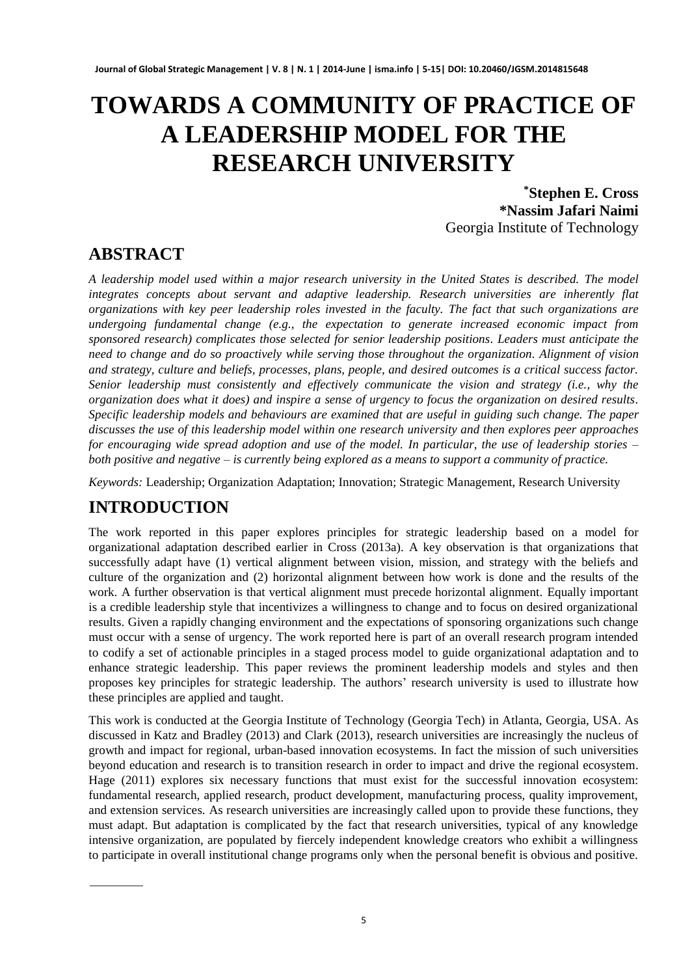# **TOWARDS A COMMUNITY OF PRACTICE OF A LEADERSHIP MODEL FOR THE RESEARCH UNIVERSITY**

**\*Stephen E. Cross \*Nassim Jafari Naimi** Georgia Institute of Technology

# **ABSTRACT**

*A leadership model used within a major research university in the United States is described. The model integrates concepts about servant and adaptive leadership. Research universities are inherently flat organizations with key peer leadership roles invested in the faculty. The fact that such organizations are undergoing fundamental change (e.g., the expectation to generate increased economic impact from sponsored research) complicates those selected for senior leadership positions. Leaders must anticipate the need to change and do so proactively while serving those throughout the organization. Alignment of vision and strategy, culture and beliefs, processes, plans, people, and desired outcomes is a critical success factor. Senior leadership must consistently and effectively communicate the vision and strategy (i.e., why the organization does what it does) and inspire a sense of urgency to focus the organization on desired results. Specific leadership models and behaviours are examined that are useful in guiding such change. The paper discusses the use of this leadership model within one research university and then explores peer approaches for encouraging wide spread adoption and use of the model. In particular, the use of leadership stories – both positive and negative – is currently being explored as a means to support a community of practice.* 

*Keywords:* Leadership; Organization Adaptation; Innovation; Strategic Management, Research University

# **INTRODUCTION**

The work reported in this paper explores principles for strategic leadership based on a model for organizational adaptation described earlier in Cross (2013a). A key observation is that organizations that successfully adapt have (1) vertical alignment between vision, mission, and strategy with the beliefs and culture of the organization and (2) horizontal alignment between how work is done and the results of the work. A further observation is that vertical alignment must precede horizontal alignment. Equally important is a credible leadership style that incentivizes a willingness to change and to focus on desired organizational results. Given a rapidly changing environment and the expectations of sponsoring organizations such change must occur with a sense of urgency. The work reported here is part of an overall research program intended to codify a set of actionable principles in a staged process model to guide organizational adaptation and to enhance strategic leadership. This paper reviews the prominent leadership models and styles and then proposes key principles for strategic leadership. The authors' research university is used to illustrate how these principles are applied and taught.

This work is conducted at the Georgia Institute of Technology (Georgia Tech) in Atlanta, Georgia, USA. As discussed in Katz and Bradley (2013) and Clark (2013), research universities are increasingly the nucleus of growth and impact for regional, urban-based innovation ecosystems. In fact the mission of such universities beyond education and research is to transition research in order to impact and drive the regional ecosystem. Hage (2011) explores six necessary functions that must exist for the successful innovation ecosystem: fundamental research, applied research, product development, manufacturing process, quality improvement, and extension services. As research universities are increasingly called upon to provide these functions, they must adapt. But adaptation is complicated by the fact that research universities, typical of any knowledge intensive organization, are populated by fiercely independent knowledge creators who exhibit a willingness to participate in overall institutional change programs only when the personal benefit is obvious and positive.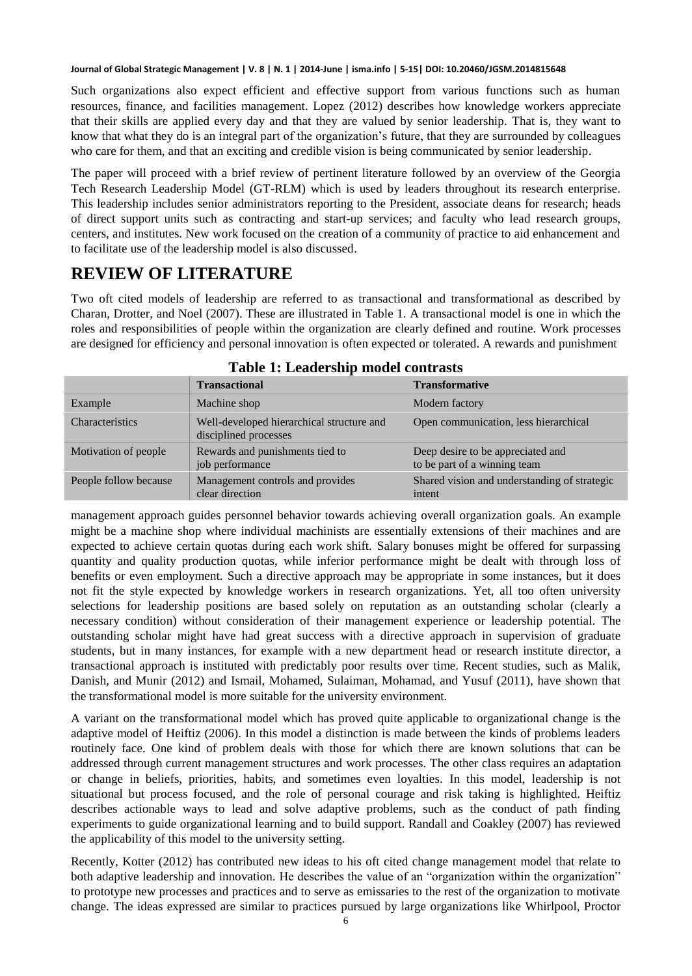Such organizations also expect efficient and effective support from various functions such as human resources, finance, and facilities management. Lopez (2012) describes how knowledge workers appreciate that their skills are applied every day and that they are valued by senior leadership. That is, they want to know that what they do is an integral part of the organization's future, that they are surrounded by colleagues who care for them, and that an exciting and credible vision is being communicated by senior leadership.

The paper will proceed with a brief review of pertinent literature followed by an overview of the Georgia Tech Research Leadership Model (GT-RLM) which is used by leaders throughout its research enterprise. This leadership includes senior administrators reporting to the President, associate deans for research; heads of direct support units such as contracting and start-up services; and faculty who lead research groups, centers, and institutes. New work focused on the creation of a community of practice to aid enhancement and to facilitate use of the leadership model is also discussed.

## **REVIEW OF LITERATURE**

Two oft cited models of leadership are referred to as transactional and transformational as described by Charan, Drotter, and Noel (2007). These are illustrated in Table 1. A transactional model is one in which the roles and responsibilities of people within the organization are clearly defined and routine. Work processes are designed for efficiency and personal innovation is often expected or tolerated. A rewards and punishment

|                       | <b>Transactional</b>                                               | <b>Transformative</b>                                             |
|-----------------------|--------------------------------------------------------------------|-------------------------------------------------------------------|
| Example               | Machine shop                                                       | Modern factory                                                    |
| Characteristics       | Well-developed hierarchical structure and<br>disciplined processes | Open communication, less hierarchical                             |
| Motivation of people  | Rewards and punishments tied to<br>job performance                 | Deep desire to be appreciated and<br>to be part of a winning team |
| People follow because | Management controls and provides<br>clear direction                | Shared vision and understanding of strategic<br>intent            |

management approach guides personnel behavior towards achieving overall organization goals. An example might be a machine shop where individual machinists are essentially extensions of their machines and are expected to achieve certain quotas during each work shift. Salary bonuses might be offered for surpassing quantity and quality production quotas, while inferior performance might be dealt with through loss of benefits or even employment. Such a directive approach may be appropriate in some instances, but it does not fit the style expected by knowledge workers in research organizations. Yet, all too often university selections for leadership positions are based solely on reputation as an outstanding scholar (clearly a necessary condition) without consideration of their management experience or leadership potential. The outstanding scholar might have had great success with a directive approach in supervision of graduate students, but in many instances, for example with a new department head or research institute director, a transactional approach is instituted with predictably poor results over time. Recent studies, such as Malik, Danish, and Munir (2012) and Ismail, Mohamed, Sulaiman, Mohamad, and Yusuf (2011), have shown that the transformational model is more suitable for the university environment.

A variant on the transformational model which has proved quite applicable to organizational change is the adaptive model of Heiftiz (2006). In this model a distinction is made between the kinds of problems leaders routinely face. One kind of problem deals with those for which there are known solutions that can be addressed through current management structures and work processes. The other class requires an adaptation or change in beliefs, priorities, habits, and sometimes even loyalties. In this model, leadership is not situational but process focused, and the role of personal courage and risk taking is highlighted. Heiftiz describes actionable ways to lead and solve adaptive problems, such as the conduct of path finding experiments to guide organizational learning and to build support. Randall and Coakley (2007) has reviewed the applicability of this model to the university setting.

Recently, Kotter (2012) has contributed new ideas to his oft cited change management model that relate to both adaptive leadership and innovation. He describes the value of an "organization within the organization" to prototype new processes and practices and to serve as emissaries to the rest of the organization to motivate change. The ideas expressed are similar to practices pursued by large organizations like Whirlpool, Proctor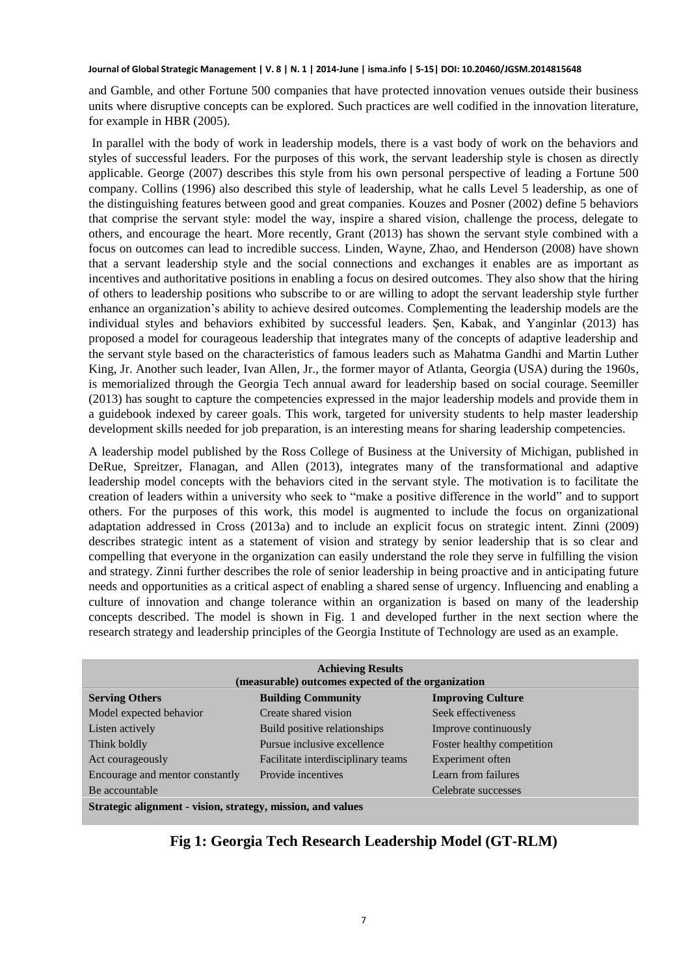and Gamble, and other Fortune 500 companies that have protected innovation venues outside their business units where disruptive concepts can be explored. Such practices are well codified in the innovation literature, for example in HBR (2005).

 In parallel with the body of work in leadership models, there is a vast body of work on the behaviors and styles of successful leaders. For the purposes of this work, the servant leadership style is chosen as directly applicable. George (2007) describes this style from his own personal perspective of leading a Fortune 500 company. Collins (1996) also described this style of leadership, what he calls Level 5 leadership, as one of the distinguishing features between good and great companies. Kouzes and Posner (2002) define 5 behaviors that comprise the servant style: model the way, inspire a shared vision, challenge the process, delegate to others, and encourage the heart. More recently, Grant (2013) has shown the servant style combined with a focus on outcomes can lead to incredible success. Linden, Wayne, Zhao, and Henderson (2008) have shown that a servant leadership style and the social connections and exchanges it enables are as important as incentives and authoritative positions in enabling a focus on desired outcomes. They also show that the hiring of others to leadership positions who subscribe to or are willing to adopt the servant leadership style further enhance an organization's ability to achieve desired outcomes. Complementing the leadership models are the individual styles and behaviors exhibited by successful leaders. Şen, Kabak, and Yanginlar (2013) has proposed a model for courageous leadership that integrates many of the concepts of adaptive leadership and the servant style based on the characteristics of famous leaders such as Mahatma Gandhi and Martin Luther King, Jr. Another such leader, Ivan Allen, Jr., the former mayor of Atlanta, Georgia (USA) during the 1960s, is memorialized through the Georgia Tech annual award for leadership based on social courage. Seemiller (2013) has sought to capture the competencies expressed in the major leadership models and provide them in a guidebook indexed by career goals. This work, targeted for university students to help master leadership development skills needed for job preparation, is an interesting means for sharing leadership competencies.

A leadership model published by the Ross College of Business at the University of Michigan, published in DeRue, Spreitzer, Flanagan, and Allen (2013), integrates many of the transformational and adaptive leadership model concepts with the behaviors cited in the servant style. The motivation is to facilitate the creation of leaders within a university who seek to "make a positive difference in the world" and to support others. For the purposes of this work, this model is augmented to include the focus on organizational adaptation addressed in Cross (2013a) and to include an explicit focus on strategic intent. Zinni (2009) describes strategic intent as a statement of vision and strategy by senior leadership that is so clear and compelling that everyone in the organization can easily understand the role they serve in fulfilling the vision and strategy. Zinni further describes the role of senior leadership in being proactive and in anticipating future needs and opportunities as a critical aspect of enabling a shared sense of urgency. Influencing and enabling a culture of innovation and change tolerance within an organization is based on many of the leadership concepts described. The model is shown in Fig. 1 and developed further in the next section where the research strategy and leadership principles of the Georgia Institute of Technology are used as an example.

| <b>Achieving Results</b>                                    |                                    |                            |  |  |
|-------------------------------------------------------------|------------------------------------|----------------------------|--|--|
| (measurable) outcomes expected of the organization          |                                    |                            |  |  |
| <b>Serving Others</b>                                       | <b>Building Community</b>          | <b>Improving Culture</b>   |  |  |
| Model expected behavior                                     | Create shared vision               | Seek effectiveness         |  |  |
| Listen actively                                             | Build positive relationships       | Improve continuously       |  |  |
| Think boldly                                                | Pursue inclusive excellence        | Foster healthy competition |  |  |
| Act courageously                                            | Facilitate interdisciplinary teams | Experiment often           |  |  |
| Encourage and mentor constantly                             | Provide incentives                 | Learn from failures        |  |  |
| Be accountable                                              |                                    | Celebrate successes        |  |  |
| Strategic alignment - vision, strategy, mission, and values |                                    |                            |  |  |

### **Fig 1: Georgia Tech Research Leadership Model (GT-RLM)**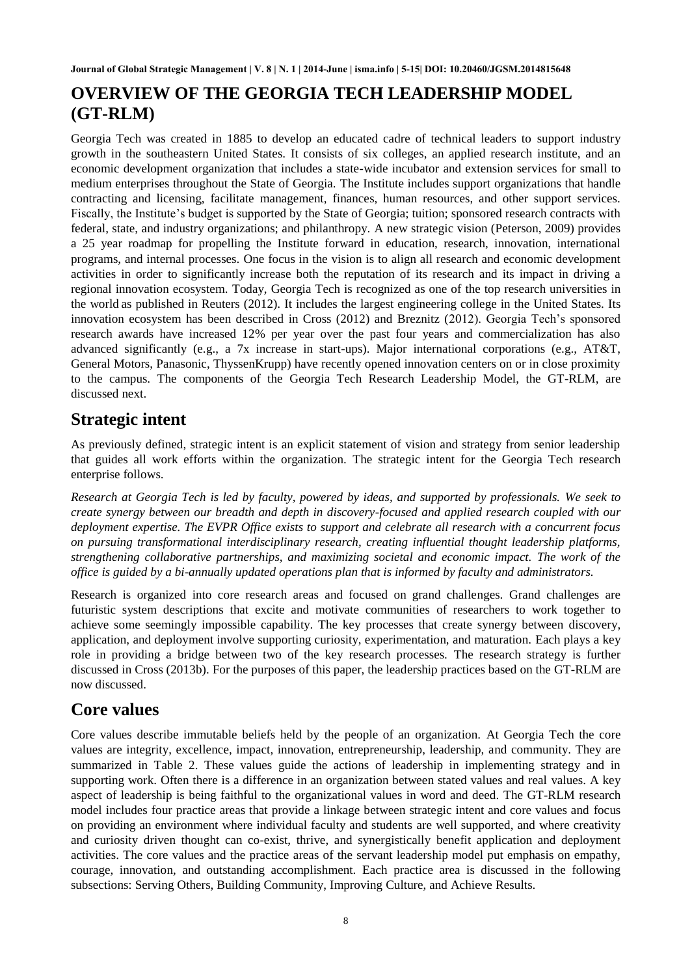# **OVERVIEW OF THE GEORGIA TECH LEADERSHIP MODEL (GT-RLM)**

Georgia Tech was created in 1885 to develop an educated cadre of technical leaders to support industry growth in the southeastern United States. It consists of six colleges, an applied research institute, and an economic development organization that includes a state-wide incubator and extension services for small to medium enterprises throughout the State of Georgia. The Institute includes support organizations that handle contracting and licensing, facilitate management, finances, human resources, and other support services. Fiscally, the Institute's budget is supported by the State of Georgia; tuition; sponsored research contracts with federal, state, and industry organizations; and philanthropy. A new strategic vision (Peterson, 2009) provides a 25 year roadmap for propelling the Institute forward in education, research, innovation, international programs, and internal processes. One focus in the vision is to align all research and economic development activities in order to significantly increase both the reputation of its research and its impact in driving a regional innovation ecosystem. Today, Georgia Tech is recognized as one of the top research universities in the world as published in Reuters (2012). It includes the largest engineering college in the United States. Its innovation ecosystem has been described in Cross (2012) and Breznitz (2012). Georgia Tech's sponsored research awards have increased 12% per year over the past four years and commercialization has also advanced significantly (e.g., a 7x increase in start-ups). Major international corporations (e.g., AT&T, General Motors, Panasonic, ThyssenKrupp) have recently opened innovation centers on or in close proximity to the campus. The components of the Georgia Tech Research Leadership Model, the GT-RLM, are discussed next.

## **Strategic intent**

As previously defined, strategic intent is an explicit statement of vision and strategy from senior leadership that guides all work efforts within the organization. The strategic intent for the Georgia Tech research enterprise follows.

*Research at Georgia Tech is led by faculty, powered by ideas, and supported by professionals. We seek to create synergy between our breadth and depth in discovery-focused and applied research coupled with our deployment expertise. The EVPR Office exists to support and celebrate all research with a concurrent focus on pursuing transformational interdisciplinary research, creating influential thought leadership platforms, strengthening collaborative partnerships, and maximizing societal and economic impact. The work of the office is guided by a bi-annually updated operations plan that is informed by faculty and administrators.* 

Research is organized into core research areas and focused on grand challenges. Grand challenges are futuristic system descriptions that excite and motivate communities of researchers to work together to achieve some seemingly impossible capability. The key processes that create synergy between discovery, application, and deployment involve supporting curiosity, experimentation, and maturation. Each plays a key role in providing a bridge between two of the key research processes. The research strategy is further discussed in Cross (2013b). For the purposes of this paper, the leadership practices based on the GT-RLM are now discussed.

# **Core values**

Core values describe immutable beliefs held by the people of an organization. At Georgia Tech the core values are integrity, excellence, impact, innovation, entrepreneurship, leadership, and community. They are summarized in Table 2. These values guide the actions of leadership in implementing strategy and in supporting work. Often there is a difference in an organization between stated values and real values. A key aspect of leadership is being faithful to the organizational values in word and deed. The GT-RLM research model includes four practice areas that provide a linkage between strategic intent and core values and focus on providing an environment where individual faculty and students are well supported, and where creativity and curiosity driven thought can co-exist, thrive, and synergistically benefit application and deployment activities. The core values and the practice areas of the servant leadership model put emphasis on empathy, courage, innovation, and outstanding accomplishment. Each practice area is discussed in the following subsections: Serving Others, Building Community, Improving Culture, and Achieve Results.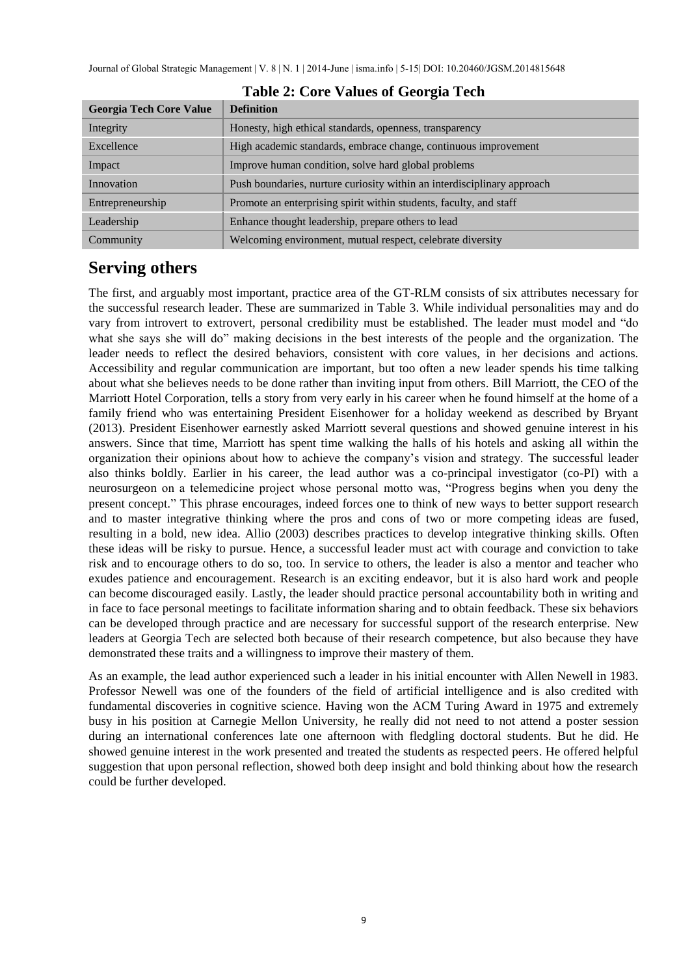| <b>Georgia Tech Core Value</b> | <b>Definition</b>                                                       |
|--------------------------------|-------------------------------------------------------------------------|
| Integrity                      | Honesty, high ethical standards, openness, transparency                 |
| Excellence                     | High academic standards, embrace change, continuous improvement         |
| Impact                         | Improve human condition, solve hard global problems                     |
| Innovation                     | Push boundaries, nurture curiosity within an interdisciplinary approach |
| Entrepreneurship               | Promote an enterprising spirit within students, faculty, and staff      |
| Leadership                     | Enhance thought leadership, prepare others to lead                      |
| Community                      | Welcoming environment, mutual respect, celebrate diversity              |

#### **Table 2: Core Values of Georgia Tech**

### **Serving others**

The first, and arguably most important, practice area of the GT-RLM consists of six attributes necessary for the successful research leader. These are summarized in Table 3. While individual personalities may and do vary from introvert to extrovert, personal credibility must be established. The leader must model and "do what she says she will do" making decisions in the best interests of the people and the organization. The leader needs to reflect the desired behaviors, consistent with core values, in her decisions and actions. Accessibility and regular communication are important, but too often a new leader spends his time talking about what she believes needs to be done rather than inviting input from others. Bill Marriott, the CEO of the Marriott Hotel Corporation, tells a story from very early in his career when he found himself at the home of a family friend who was entertaining President Eisenhower for a holiday weekend as described by Bryant (2013). President Eisenhower earnestly asked Marriott several questions and showed genuine interest in his answers. Since that time, Marriott has spent time walking the halls of his hotels and asking all within the organization their opinions about how to achieve the company's vision and strategy. The successful leader also thinks boldly. Earlier in his career, the lead author was a co-principal investigator (co-PI) with a neurosurgeon on a telemedicine project whose personal motto was, "Progress begins when you deny the present concept." This phrase encourages, indeed forces one to think of new ways to better support research and to master integrative thinking where the pros and cons of two or more competing ideas are fused, resulting in a bold, new idea. Allio (2003) describes practices to develop integrative thinking skills. Often these ideas will be risky to pursue. Hence, a successful leader must act with courage and conviction to take risk and to encourage others to do so, too. In service to others, the leader is also a mentor and teacher who exudes patience and encouragement. Research is an exciting endeavor, but it is also hard work and people can become discouraged easily. Lastly, the leader should practice personal accountability both in writing and in face to face personal meetings to facilitate information sharing and to obtain feedback. These six behaviors can be developed through practice and are necessary for successful support of the research enterprise. New leaders at Georgia Tech are selected both because of their research competence, but also because they have demonstrated these traits and a willingness to improve their mastery of them.

As an example, the lead author experienced such a leader in his initial encounter with Allen Newell in 1983. Professor Newell was one of the founders of the field of artificial intelligence and is also credited with fundamental discoveries in cognitive science. Having won the ACM Turing Award in 1975 and extremely busy in his position at Carnegie Mellon University, he really did not need to not attend a poster session during an international conferences late one afternoon with fledgling doctoral students. But he did. He showed genuine interest in the work presented and treated the students as respected peers. He offered helpful suggestion that upon personal reflection, showed both deep insight and bold thinking about how the research could be further developed.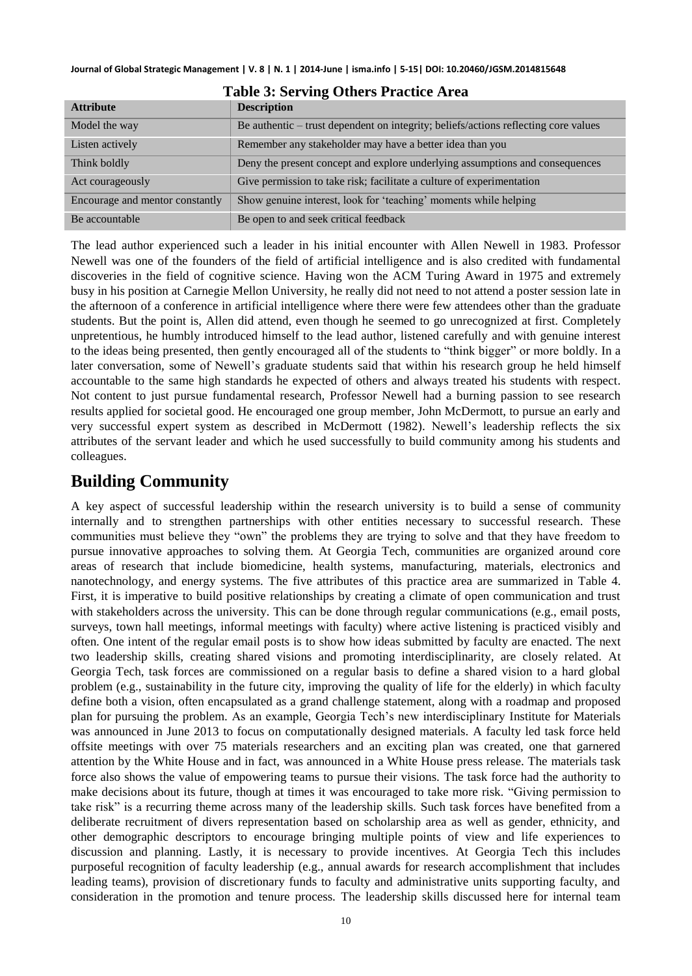| Tuble of our ving outcle I ruetted in ea |                                                                                     |  |
|------------------------------------------|-------------------------------------------------------------------------------------|--|
| <b>Attribute</b>                         | <b>Description</b>                                                                  |  |
| Model the way                            | Be authentic – trust dependent on integrity; beliefs/actions reflecting core values |  |
| Listen actively                          | Remember any stakeholder may have a better idea than you                            |  |
| Think boldly                             | Deny the present concept and explore underlying assumptions and consequences        |  |
| Act courageously                         | Give permission to take risk; facilitate a culture of experimentation               |  |
| Encourage and mentor constantly          | Show genuine interest, look for 'teaching' moments while helping                    |  |
| Be accountable                           | Be open to and seek critical feedback                                               |  |

#### **Table 3: Serving Others Practice Area**

The lead author experienced such a leader in his initial encounter with Allen Newell in 1983. Professor Newell was one of the founders of the field of artificial intelligence and is also credited with fundamental discoveries in the field of cognitive science. Having won the ACM Turing Award in 1975 and extremely busy in his position at Carnegie Mellon University, he really did not need to not attend a poster session late in the afternoon of a conference in artificial intelligence where there were few attendees other than the graduate students. But the point is, Allen did attend, even though he seemed to go unrecognized at first. Completely unpretentious, he humbly introduced himself to the lead author, listened carefully and with genuine interest to the ideas being presented, then gently encouraged all of the students to "think bigger" or more boldly. In a later conversation, some of Newell's graduate students said that within his research group he held himself accountable to the same high standards he expected of others and always treated his students with respect. Not content to just pursue fundamental research, Professor Newell had a burning passion to see research results applied for societal good. He encouraged one group member, John McDermott, to pursue an early and very successful expert system as described in McDermott (1982). Newell's leadership reflects the six attributes of the servant leader and which he used successfully to build community among his students and colleagues.

### **Building Community**

A key aspect of successful leadership within the research university is to build a sense of community internally and to strengthen partnerships with other entities necessary to successful research. These communities must believe they "own" the problems they are trying to solve and that they have freedom to pursue innovative approaches to solving them. At Georgia Tech, communities are organized around core areas of research that include biomedicine, health systems, manufacturing, materials, electronics and nanotechnology, and energy systems. The five attributes of this practice area are summarized in Table 4. First, it is imperative to build positive relationships by creating a climate of open communication and trust with stakeholders across the university. This can be done through regular communications (e.g., email posts, surveys, town hall meetings, informal meetings with faculty) where active listening is practiced visibly and often. One intent of the regular email posts is to show how ideas submitted by faculty are enacted. The next two leadership skills, creating shared visions and promoting interdisciplinarity, are closely related. At Georgia Tech, task forces are commissioned on a regular basis to define a shared vision to a hard global problem (e.g., sustainability in the future city, improving the quality of life for the elderly) in which faculty define both a vision, often encapsulated as a grand challenge statement, along with a roadmap and proposed plan for pursuing the problem. As an example, Georgia Tech's new interdisciplinary Institute for Materials was announced in June 2013 to focus on computationally designed materials. A faculty led task force held offsite meetings with over 75 materials researchers and an exciting plan was created, one that garnered attention by the White House and in fact, was announced in a White House press release. The materials task force also shows the value of empowering teams to pursue their visions. The task force had the authority to make decisions about its future, though at times it was encouraged to take more risk. "Giving permission to take risk" is a recurring theme across many of the leadership skills. Such task forces have benefited from a deliberate recruitment of divers representation based on scholarship area as well as gender, ethnicity, and other demographic descriptors to encourage bringing multiple points of view and life experiences to discussion and planning. Lastly, it is necessary to provide incentives. At Georgia Tech this includes purposeful recognition of faculty leadership (e.g., annual awards for research accomplishment that includes leading teams), provision of discretionary funds to faculty and administrative units supporting faculty, and consideration in the promotion and tenure process. The leadership skills discussed here for internal team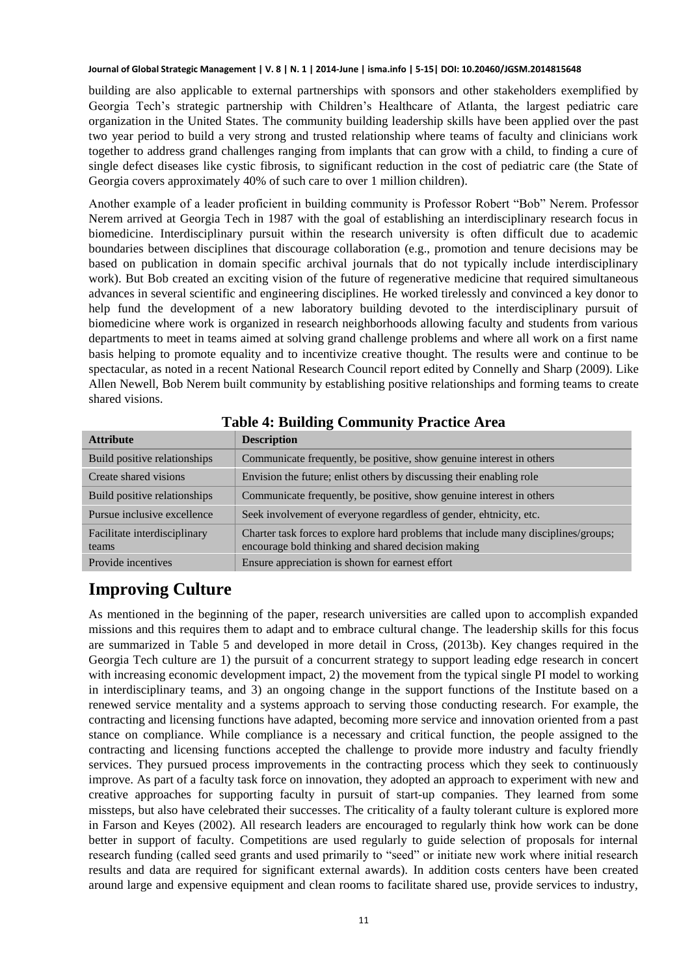building are also applicable to external partnerships with sponsors and other stakeholders exemplified by Georgia Tech's strategic partnership with Children's Healthcare of Atlanta, the largest pediatric care organization in the United States. The community building leadership skills have been applied over the past two year period to build a very strong and trusted relationship where teams of faculty and clinicians work together to address grand challenges ranging from implants that can grow with a child, to finding a cure of single defect diseases like cystic fibrosis, to significant reduction in the cost of pediatric care (the State of Georgia covers approximately 40% of such care to over 1 million children).

Another example of a leader proficient in building community is Professor Robert "Bob" Nerem. Professor Nerem arrived at Georgia Tech in 1987 with the goal of establishing an interdisciplinary research focus in biomedicine. Interdisciplinary pursuit within the research university is often difficult due to academic boundaries between disciplines that discourage collaboration (e.g., promotion and tenure decisions may be based on publication in domain specific archival journals that do not typically include interdisciplinary work). But Bob created an exciting vision of the future of regenerative medicine that required simultaneous advances in several scientific and engineering disciplines. He worked tirelessly and convinced a key donor to help fund the development of a new laboratory building devoted to the interdisciplinary pursuit of biomedicine where work is organized in research neighborhoods allowing faculty and students from various departments to meet in teams aimed at solving grand challenge problems and where all work on a first name basis helping to promote equality and to incentivize creative thought. The results were and continue to be spectacular, as noted in a recent National Research Council report edited by Connelly and Sharp (2009). Like Allen Newell, Bob Nerem built community by establishing positive relationships and forming teams to create shared visions.

| <b>Attribute</b>                      | <b>Description</b>                                                                                                                       |
|---------------------------------------|------------------------------------------------------------------------------------------------------------------------------------------|
| Build positive relationships          | Communicate frequently, be positive, show genuine interest in others                                                                     |
| Create shared visions                 | Envision the future; enlist others by discussing their enabling role                                                                     |
| Build positive relationships          | Communicate frequently, be positive, show genuine interest in others                                                                     |
| Pursue inclusive excellence           | Seek involvement of everyone regardless of gender, ehtnicity, etc.                                                                       |
| Facilitate interdisciplinary<br>teams | Charter task forces to explore hard problems that include many disciplines/groups;<br>encourage bold thinking and shared decision making |
| Provide incentives                    | Ensure appreciation is shown for earnest effort                                                                                          |

**Table 4: Building Community Practice Area** 

# **Improving Culture**

As mentioned in the beginning of the paper, research universities are called upon to accomplish expanded missions and this requires them to adapt and to embrace cultural change. The leadership skills for this focus are summarized in Table 5 and developed in more detail in Cross, (2013b). Key changes required in the Georgia Tech culture are 1) the pursuit of a concurrent strategy to support leading edge research in concert with increasing economic development impact, 2) the movement from the typical single PI model to working in interdisciplinary teams, and 3) an ongoing change in the support functions of the Institute based on a renewed service mentality and a systems approach to serving those conducting research. For example, the contracting and licensing functions have adapted, becoming more service and innovation oriented from a past stance on compliance. While compliance is a necessary and critical function, the people assigned to the contracting and licensing functions accepted the challenge to provide more industry and faculty friendly services. They pursued process improvements in the contracting process which they seek to continuously improve. As part of a faculty task force on innovation, they adopted an approach to experiment with new and creative approaches for supporting faculty in pursuit of start-up companies. They learned from some missteps, but also have celebrated their successes. The criticality of a faulty tolerant culture is explored more in Farson and Keyes (2002). All research leaders are encouraged to regularly think how work can be done better in support of faculty. Competitions are used regularly to guide selection of proposals for internal research funding (called seed grants and used primarily to "seed" or initiate new work where initial research results and data are required for significant external awards). In addition costs centers have been created around large and expensive equipment and clean rooms to facilitate shared use, provide services to industry,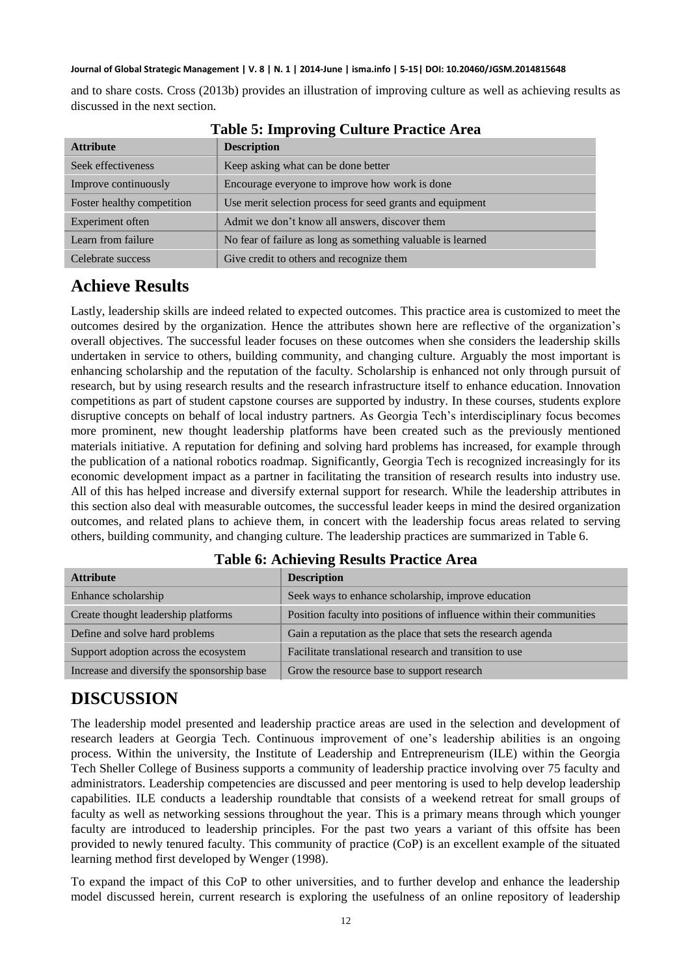and to share costs. Cross (2013b) provides an illustration of improving culture as well as achieving results as discussed in the next section.

| <b>Attribute</b>           | <b>Description</b>                                          |
|----------------------------|-------------------------------------------------------------|
| Seek effectiveness         | Keep asking what can be done better                         |
| Improve continuously       | Encourage everyone to improve how work is done              |
| Foster healthy competition | Use merit selection process for seed grants and equipment   |
| Experiment often           | Admit we don't know all answers, discover them              |
| Learn from failure         | No fear of failure as long as something valuable is learned |
| Celebrate success          | Give credit to others and recognize them                    |

**Table 5: Improving Culture Practice Area**

### **Achieve Results**

Lastly, leadership skills are indeed related to expected outcomes. This practice area is customized to meet the outcomes desired by the organization. Hence the attributes shown here are reflective of the organization's overall objectives. The successful leader focuses on these outcomes when she considers the leadership skills undertaken in service to others, building community, and changing culture. Arguably the most important is enhancing scholarship and the reputation of the faculty. Scholarship is enhanced not only through pursuit of research, but by using research results and the research infrastructure itself to enhance education. Innovation competitions as part of student capstone courses are supported by industry. In these courses, students explore disruptive concepts on behalf of local industry partners. As Georgia Tech's interdisciplinary focus becomes more prominent, new thought leadership platforms have been created such as the previously mentioned materials initiative. A reputation for defining and solving hard problems has increased, for example through the publication of a national robotics roadmap. Significantly, Georgia Tech is recognized increasingly for its economic development impact as a partner in facilitating the transition of research results into industry use. All of this has helped increase and diversify external support for research. While the leadership attributes in this section also deal with measurable outcomes, the successful leader keeps in mind the desired organization outcomes, and related plans to achieve them, in concert with the leadership focus areas related to serving others, building community, and changing culture. The leadership practices are summarized in Table 6.

| <b>Attribute</b>                            | <b>Description</b>                                                    |
|---------------------------------------------|-----------------------------------------------------------------------|
| Enhance scholarship                         | Seek ways to enhance scholarship, improve education                   |
| Create thought leadership platforms         | Position faculty into positions of influence within their communities |
| Define and solve hard problems              | Gain a reputation as the place that sets the research agenda          |
| Support adoption across the ecosystem       | Facilitate translational research and transition to use               |
| Increase and diversify the sponsorship base | Grow the resource base to support research                            |

#### **Table 6: Achieving Results Practice Area**

## **DISCUSSION**

The leadership model presented and leadership practice areas are used in the selection and development of research leaders at Georgia Tech. Continuous improvement of one's leadership abilities is an ongoing process. Within the university, the Institute of Leadership and Entrepreneurism (ILE) within the Georgia Tech Sheller College of Business supports a community of leadership practice involving over 75 faculty and administrators. Leadership competencies are discussed and peer mentoring is used to help develop leadership capabilities. ILE conducts a leadership roundtable that consists of a weekend retreat for small groups of faculty as well as networking sessions throughout the year. This is a primary means through which younger faculty are introduced to leadership principles. For the past two years a variant of this offsite has been provided to newly tenured faculty. This community of practice (CoP) is an excellent example of the situated learning method first developed by Wenger (1998).

To expand the impact of this CoP to other universities, and to further develop and enhance the leadership model discussed herein, current research is exploring the usefulness of an online repository of leadership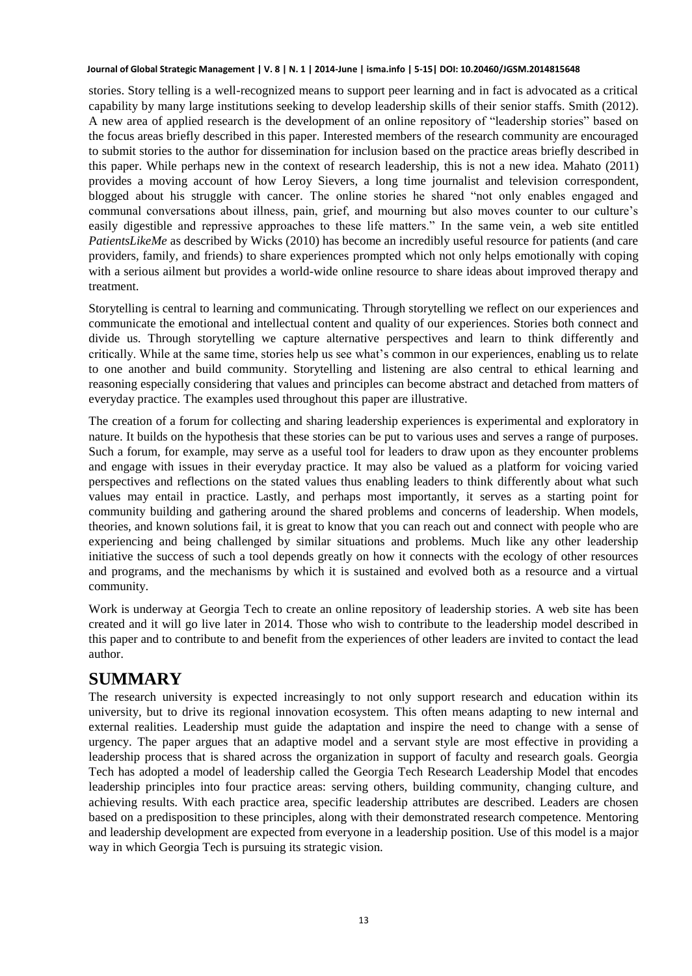stories. Story telling is a well-recognized means to support peer learning and in fact is advocated as a critical capability by many large institutions seeking to develop leadership skills of their senior staffs. Smith (2012). A new area of applied research is the development of an online repository of "leadership stories" based on the focus areas briefly described in this paper. Interested members of the research community are encouraged to submit stories to the author for dissemination for inclusion based on the practice areas briefly described in this paper. While perhaps new in the context of research leadership, this is not a new idea. Mahato (2011) provides a moving account of how Leroy Sievers, a long time journalist and television correspondent, blogged about his struggle with cancer. The online stories he shared "not only enables engaged and communal conversations about illness, pain, grief, and mourning but also moves counter to our culture's easily digestible and repressive approaches to these life matters." In the same vein, a web site entitled *PatientsLikeMe* as described by Wicks (2010) has become an incredibly useful resource for patients (and care providers, family, and friends) to share experiences prompted which not only helps emotionally with coping with a serious ailment but provides a world-wide online resource to share ideas about improved therapy and treatment.

Storytelling is central to learning and communicating. Through storytelling we reflect on our experiences and communicate the emotional and intellectual content and quality of our experiences. Stories both connect and divide us. Through storytelling we capture alternative perspectives and learn to think differently and critically. While at the same time, stories help us see what's common in our experiences, enabling us to relate to one another and build community. Storytelling and listening are also central to ethical learning and reasoning especially considering that values and principles can become abstract and detached from matters of everyday practice. The examples used throughout this paper are illustrative.

The creation of a forum for collecting and sharing leadership experiences is experimental and exploratory in nature. It builds on the hypothesis that these stories can be put to various uses and serves a range of purposes. Such a forum, for example, may serve as a useful tool for leaders to draw upon as they encounter problems and engage with issues in their everyday practice. It may also be valued as a platform for voicing varied perspectives and reflections on the stated values thus enabling leaders to think differently about what such values may entail in practice. Lastly, and perhaps most importantly, it serves as a starting point for community building and gathering around the shared problems and concerns of leadership. When models, theories, and known solutions fail, it is great to know that you can reach out and connect with people who are experiencing and being challenged by similar situations and problems. Much like any other leadership initiative the success of such a tool depends greatly on how it connects with the ecology of other resources and programs, and the mechanisms by which it is sustained and evolved both as a resource and a virtual community.

Work is underway at Georgia Tech to create an online repository of leadership stories. A web site has been created and it will go live later in 2014. Those who wish to contribute to the leadership model described in this paper and to contribute to and benefit from the experiences of other leaders are invited to contact the lead author.

### **SUMMARY**

The research university is expected increasingly to not only support research and education within its university, but to drive its regional innovation ecosystem. This often means adapting to new internal and external realities. Leadership must guide the adaptation and inspire the need to change with a sense of urgency. The paper argues that an adaptive model and a servant style are most effective in providing a leadership process that is shared across the organization in support of faculty and research goals. Georgia Tech has adopted a model of leadership called the Georgia Tech Research Leadership Model that encodes leadership principles into four practice areas: serving others, building community, changing culture, and achieving results. With each practice area, specific leadership attributes are described. Leaders are chosen based on a predisposition to these principles, along with their demonstrated research competence. Mentoring and leadership development are expected from everyone in a leadership position. Use of this model is a major way in which Georgia Tech is pursuing its strategic vision.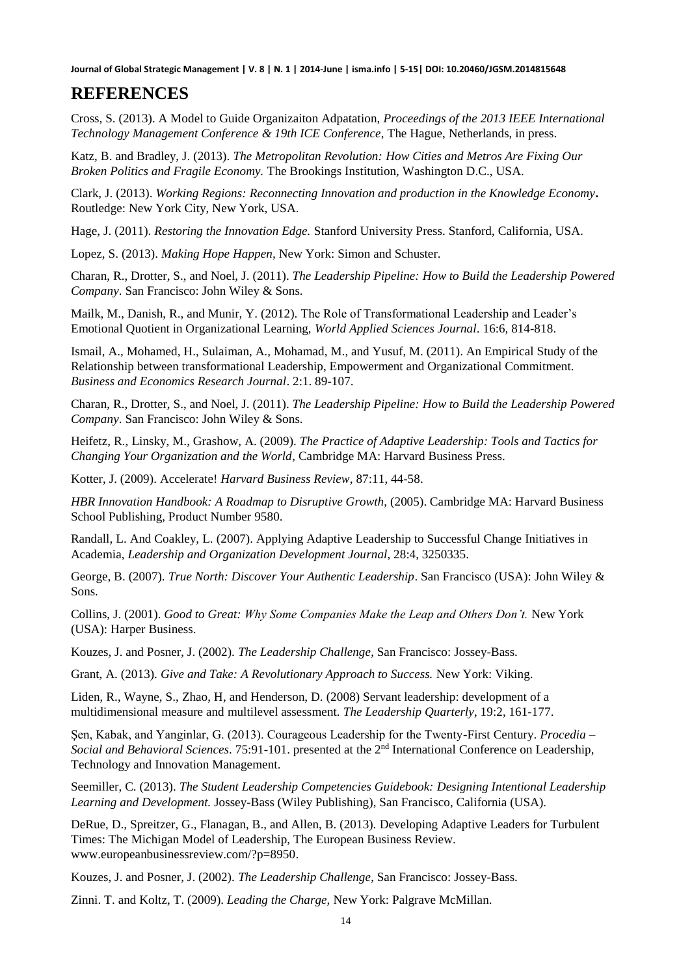### **REFERENCES**

Cross, S. (2013). A Model to Guide Organizaiton Adpatation, *Proceedings of the 2013 IEEE International Technology Management Conference & 19th ICE Conference*, The Hague, Netherlands, in press.

Katz, B. and Bradley, J. (2013). *The Metropolitan Revolution: How Cities and Metros Are Fixing Our Broken Politics and Fragile Economy.* The Brookings Institution, Washington D.C., USA.

Clark, J. (2013). *Working Regions: Reconnecting Innovation and production in the Knowledge Economy***.**  Routledge: New York City, New York, USA.

Hage, J. (2011). *Restoring the Innovation Edge.* Stanford University Press. Stanford, California, USA.

Lopez, S. (2013). *Making Hope Happen,* New York: Simon and Schuster.

Charan, R., Drotter, S., and Noel, J. (2011). *The Leadership Pipeline: How to Build the Leadership Powered Company*. San Francisco: John Wiley & Sons.

Mailk, M., Danish, R., and Munir, Y. (2012). The Role of Transformational Leadership and Leader's Emotional Quotient in Organizational Learning, *World Applied Sciences Journal*. 16:6, 814-818.

Ismail, A., Mohamed, H., Sulaiman, A., Mohamad, M., and Yusuf, M. (2011). An Empirical Study of the Relationship between transformational Leadership, Empowerment and Organizational Commitment. *Business and Economics Research Journal*. 2:1. 89-107.

Charan, R., Drotter, S., and Noel, J. (2011). *The Leadership Pipeline: How to Build the Leadership Powered Company*. San Francisco: John Wiley & Sons.

[Heifetz,](http://www.amazon.com/Ronald-A.-Heifetz/e/B001IGQZIG/ref=ntt_athr_dp_pel_1) R., [Linsky,](http://www.amazon.com/s/ref=ntt_athr_dp_sr_2?_encoding=UTF8&sort=relevancerank&search-alias=books&field-author=Marty%20Linsky) M., [Grashow,](http://www.amazon.com/s/ref=ntt_athr_dp_sr_3?_encoding=UTF8&sort=relevancerank&search-alias=books&field-author=Alexander%20Grashow) A. (2009). *The Practice of Adaptive Leadership: Tools and Tactics for Changing Your Organization and the World*, Cambridge MA: Harvard Business Press.

Kotter, J. (2009). Accelerate! *Harvard Business Review*, 87:11, 44-58.

*HBR Innovation Handbook: A Roadmap to Disruptive Growth*, (2005). Cambridge MA: Harvard Business School Publishing, Product Number 9580.

Randall, L. And Coakley, L. (2007). Applying Adaptive Leadership to Successful Change Initiatives in Academia, *Leadership and Organization Development Journal*, 28:4, 3250335.

George, B. (2007). *True North: Discover Your Authentic Leadership*. San Francisco (USA): John Wiley & Sons.

Collins, J. (2001). *Good to Great: Why Some Companies Make the Leap and Others Don't.* New York (USA): Harper Business.

Kouzes, J. and Posner, J. (2002). *The Leadership Challenge*, San Francisco: Jossey-Bass.

Grant, A. (2013). *Give and Take: A Revolutionary Approach to Success.* New York: Viking.

Liden, R., Wayne, S., Zhao, H, and Henderson, D. (2008) Servant leadership: development of a multidimensional measure and multilevel assessment. *The Leadership Quarterly*, 19:2, 161-177.

Şen, Kabak, and Yanginlar, G. (2013). Courageous Leadership for the Twenty-First Century. *Procedia – Social and Behavioral Sciences*. 75:91-101. presented at the 2nd International Conference on Leadership, Technology and Innovation Management.

Seemiller, C. (2013). *The Student Leadership Competencies Guidebook: Designing Intentional Leadership Learning and Development.* Jossey-Bass (Wiley Publishing), San Francisco, California (USA).

DeRue, D., Spreitzer, G., Flanagan, B., and Allen, B. (2013). Developing Adaptive Leaders for Turbulent Times: The Michigan Model of Leadership, The European Business Review. [www.europeanbusinessreview.com/?p=8950.](http://www.europeanbusinessreview.com/?p=8950)

Kouzes, J. and Posner, J. (2002). *The Leadership Challenge*, San Francisco: Jossey-Bass.

Zinni. T. and Koltz, T. (2009). *Leading the Charge,* New York: Palgrave McMillan.